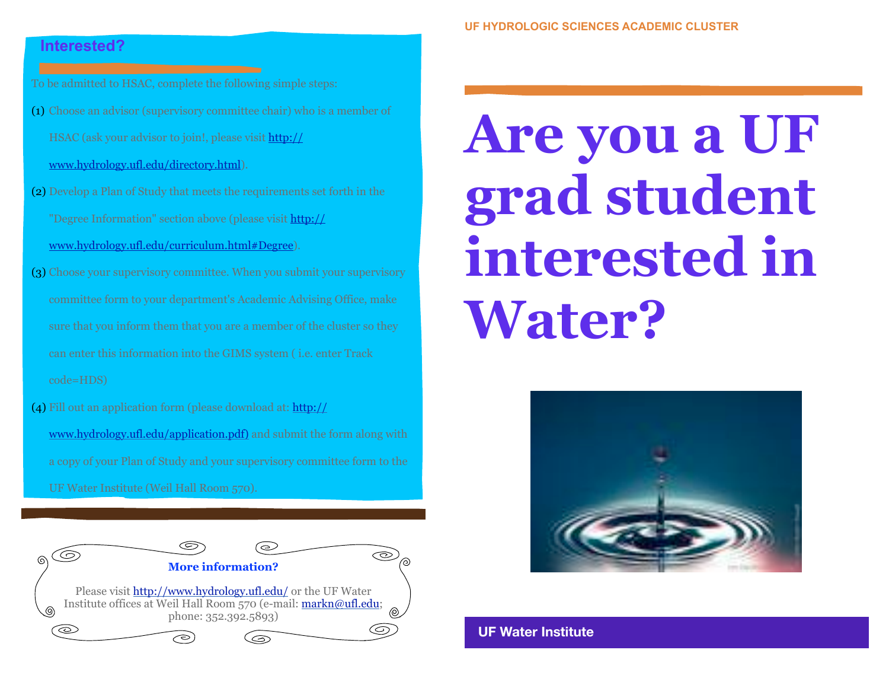## **Interested?**

To be admitted to HSAC, complete the following simple steps:

- (1) Choose an advisor (supervisory committee chair) who is a member of HSAC (ask your advisor to join!, please visit [http://](http://www.hydrology.ufl.edu/directory.html) [www.hydrology.ufl.edu/directory.html\)](http://www.hydrology.ufl.edu/directory.html).
- (2) Develop a Plan of Study that meets the requirements set forth in the "Degree Information" section above (please visit [http://](http://www.hydrology.ufl.edu/curriculum.html#Degree)

[www.hydrology.ufl.edu/curriculum.html#Degree\)](http://www.hydrology.ufl.edu/curriculum.html#Degree).

- (3) Choose your supervisory committee. When you submit your supervisory committee form to your department's Academic Advising Office, make sure that you inform them that you are a member of the cluster so they can enter this information into the GIMS system ( i.e. enter Track code=HDS)
- (4) Fill out an application form (please download at: [http://](http://www.hydrology.ufl.edu/application.pdf) [www.hydrology.ufl.edu/application.pdf\)](http://www.hydrology.ufl.edu/application.pdf) and submit the form along with a copy of your Plan of Study and your supervisory committee form to the UF Water Institute (Weil Hall Room 570).



## **Are you a UF grad student interested in Water?**



**UF Water Institute**